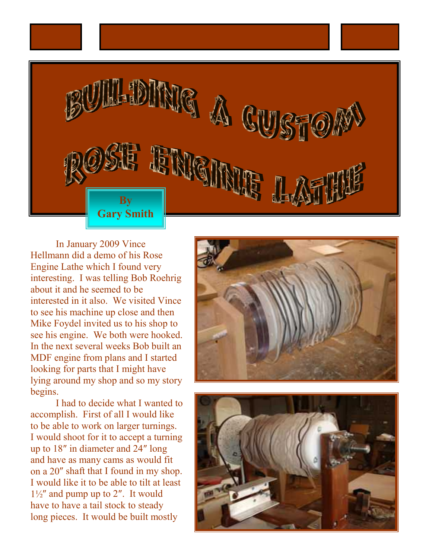

In January 2009 Vince Hellmann did a demo of his Rose Engine Lathe which I found very interesting. I was telling Bob Roehrig about it and he seemed to be interested in it also. We visited Vince to see his machine up close and then Mike Foydel invited us to his shop to see his engine. We both were hooked. In the next several weeks Bob built an MDF engine from plans and I started looking for parts that I might have lying around my shop and so my story begins.

I had to decide what I wanted to accomplish. First of all I would like to be able to work on larger turnings. I would shoot for it to accept a turning up to 18″ in diameter and 24″ long and have as many cams as would fit on a 20″ shaft that I found in my shop. I would like it to be able to tilt at least  $1\frac{1}{2}$  and pump up to 2". It would have to have a tail stock to steady long pieces. It would be built mostly



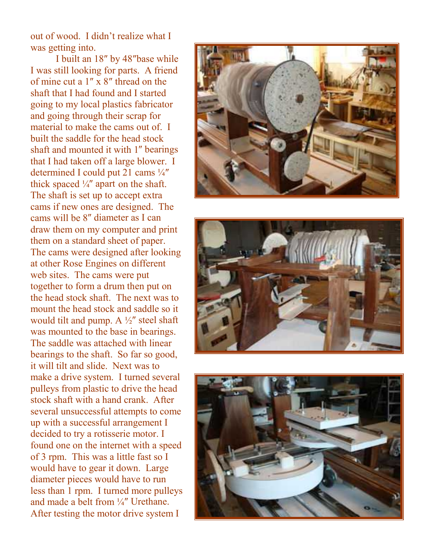out of wood. I didn't realize what I was getting into.

I built an 18″ by 48″base while I was still looking for parts. A friend of mine cut a 1″ x 8″ thread on the shaft that I had found and I started going to my local plastics fabricator and going through their scrap for material to make the cams out of. I built the saddle for the head stock shaft and mounted it with 1″ bearings that I had taken off a large blower. I determined I could put 21 cams ¼″ thick spaced  $\frac{1}{4}$  apart on the shaft. The shaft is set up to accept extra cams if new ones are designed. The cams will be 8″ diameter as I can draw them on my computer and print them on a standard sheet of paper. The cams were designed after looking at other Rose Engines on different web sites. The cams were put together to form a drum then put on the head stock shaft. The next was to mount the head stock and saddle so it would tilt and pump. A  $\frac{1}{2}$ " steel shaft was mounted to the base in bearings. The saddle was attached with linear bearings to the shaft. So far so good, it will tilt and slide. Next was to make a drive system. I turned several pulleys from plastic to drive the head stock shaft with a hand crank. After several unsuccessful attempts to come up with a successful arrangement I decided to try a rotisserie motor. I found one on the internet with a speed of 3 rpm. This was a little fast so I would have to gear it down. Large diameter pieces would have to run less than 1 rpm. I turned more pulleys and made a belt from ¼″ Urethane. After testing the motor drive system I





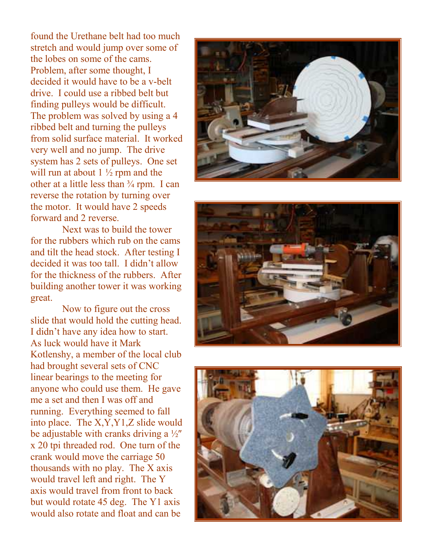found the Urethane belt had too much stretch and would jump over some of the lobes on some of the cams. Problem, after some thought, I decided it would have to be a v-belt drive. I could use a ribbed belt but finding pulleys would be difficult. The problem was solved by using a 4 ribbed belt and turning the pulleys from solid surface material. It worked very well and no jump. The drive system has 2 sets of pulleys. One set will run at about  $1\frac{1}{2}$  rpm and the other at a little less than  $\frac{3}{4}$  rpm. I can reverse the rotation by turning over the motor. It would have 2 speeds forward and 2 reverse.

Next was to build the tower for the rubbers which rub on the cams and tilt the head stock. After testing I decided it was too tall. I didn't allow for the thickness of the rubbers. After building another tower it was working great.

Now to figure out the cross slide that would hold the cutting head. I didn't have any idea how to start. As luck would have it Mark Kotlenshy, a member of the local club had brought several sets of CNC linear bearings to the meeting for anyone who could use them. He gave me a set and then I was off and running. Everything seemed to fall into place. The X,Y,Y1,Z slide would be adjustable with cranks driving a ½″ x 20 tpi threaded rod. One turn of the crank would move the carriage 50 thousands with no play. The X axis would travel left and right. The Y axis would travel from front to back but would rotate 45 deg. The Y1 axis would also rotate and float and can be